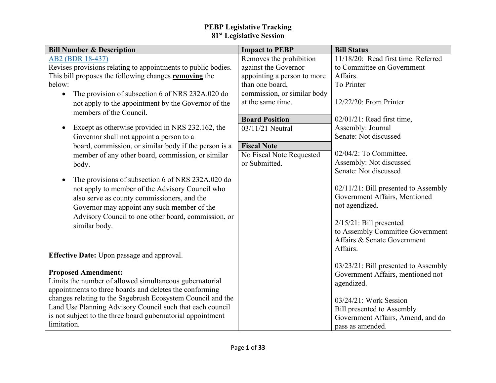| <b>Bill Number &amp; Description</b>                           | <b>Impact to PEBP</b>       | <b>Bill Status</b>                                              |
|----------------------------------------------------------------|-----------------------------|-----------------------------------------------------------------|
| AB2 (BDR 18-437)                                               | Removes the prohibition     | 11/18/20: Read first time. Referred                             |
| Revises provisions relating to appointments to public bodies.  | against the Governor        | to Committee on Government                                      |
| This bill proposes the following changes removing the          | appointing a person to more | Affairs.                                                        |
| below:                                                         | than one board,             | To Printer                                                      |
| The provision of subsection 6 of NRS 232A.020 do<br>$\bullet$  | commission, or similar body |                                                                 |
| not apply to the appointment by the Governor of the            | at the same time.           | 12/22/20: From Printer                                          |
| members of the Council.                                        |                             |                                                                 |
|                                                                | <b>Board Position</b>       | $02/01/21$ : Read first time,                                   |
| Except as otherwise provided in NRS 232.162, the<br>$\bullet$  | 03/11/21 Neutral            | Assembly: Journal                                               |
| Governor shall not appoint a person to a                       |                             | Senate: Not discussed                                           |
| board, commission, or similar body if the person is a          | <b>Fiscal Note</b>          |                                                                 |
| member of any other board, commission, or similar              | No Fiscal Note Requested    | 02/04/2: To Committee.                                          |
| body.                                                          | or Submitted.               | Assembly: Not discussed                                         |
|                                                                |                             | Senate: Not discussed                                           |
| The provisions of subsection 6 of NRS 232A.020 do<br>$\bullet$ |                             |                                                                 |
| not apply to member of the Advisory Council who                |                             | 02/11/21: Bill presented to Assembly                            |
| also serve as county commissioners, and the                    |                             | Government Affairs, Mentioned                                   |
| Governor may appoint any such member of the                    |                             | not agendized.                                                  |
| Advisory Council to one other board, commission, or            |                             |                                                                 |
| similar body.                                                  |                             | $2/15/21$ : Bill presented                                      |
|                                                                |                             | to Assembly Committee Government<br>Affairs & Senate Government |
|                                                                |                             | Affairs.                                                        |
| <b>Effective Date:</b> Upon passage and approval.              |                             |                                                                 |
|                                                                |                             | 03/23/21: Bill presented to Assembly                            |
| <b>Proposed Amendment:</b>                                     |                             | Government Affairs, mentioned not                               |
| Limits the number of allowed simultaneous gubernatorial        |                             | agendized.                                                      |
| appointments to three boards and deletes the conforming        |                             |                                                                 |
| changes relating to the Sagebrush Ecosystem Council and the    |                             | 03/24/21: Work Session                                          |
| Land Use Planning Advisory Council such that each council      |                             | <b>Bill presented to Assembly</b>                               |
| is not subject to the three board gubernatorial appointment    |                             | Government Affairs, Amend, and do                               |
| limitation.                                                    |                             | pass as amended.                                                |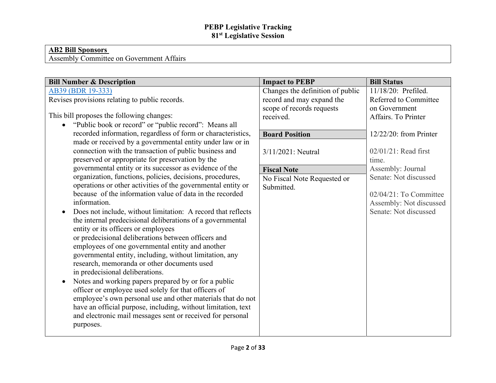#### **AB2 Bill Sponsors**

Assembly Committee on Government Affairs

| Changes the definition of public<br>11/18/20: Prefiled.<br>AB39 (BDR 19-333)<br>Revises provisions relating to public records.<br>record and may expand the<br>Referred to Committee<br>scope of records requests<br>on Government<br>This bill proposes the following changes:<br>Affairs. To Printer<br>received.<br>"Public book or record" or "public record": Means all<br>$\bullet$<br>recorded information, regardless of form or characteristics,<br><b>Board Position</b><br>12/22/20: from Printer<br>made or received by a governmental entity under law or in<br>connection with the transaction of public business and<br>$02/01/21$ : Read first<br>$3/11/2021$ : Neutral<br>preserved or appropriate for preservation by the<br>time.<br>governmental entity or its successor as evidence of the<br>Assembly: Journal<br><b>Fiscal Note</b><br>organization, functions, policies, decisions, procedures,<br>Senate: Not discussed<br>No Fiscal Note Requested or<br>operations or other activities of the governmental entity or<br>Submitted.<br>because of the information value of data in the recorded<br>information.<br>Senate: Not discussed<br>Does not include, without limitation: A record that reflects<br>$\bullet$<br>the internal predecisional deliberations of a governmental<br>entity or its officers or employees<br>or predecisional deliberations between officers and |                                                                                          |                       |                                                                            |
|-------------------------------------------------------------------------------------------------------------------------------------------------------------------------------------------------------------------------------------------------------------------------------------------------------------------------------------------------------------------------------------------------------------------------------------------------------------------------------------------------------------------------------------------------------------------------------------------------------------------------------------------------------------------------------------------------------------------------------------------------------------------------------------------------------------------------------------------------------------------------------------------------------------------------------------------------------------------------------------------------------------------------------------------------------------------------------------------------------------------------------------------------------------------------------------------------------------------------------------------------------------------------------------------------------------------------------------------------------------------------------------------------------------|------------------------------------------------------------------------------------------|-----------------------|----------------------------------------------------------------------------|
| governmental entity, including, without limitation, any<br>research, memoranda or other documents used<br>in predecisional deliberations.<br>Notes and working papers prepared by or for a public<br>$\bullet$<br>officer or employee used solely for that officers of<br>employee's own personal use and other materials that do not<br>have an official purpose, including, without limitation, text<br>and electronic mail messages sent or received for personal<br>purposes.                                                                                                                                                                                                                                                                                                                                                                                                                                                                                                                                                                                                                                                                                                                                                                                                                                                                                                                           | <b>Bill Number &amp; Description</b><br>employees of one governmental entity and another | <b>Impact to PEBP</b> | <b>Bill Status</b><br>$02/04/21$ : To Committee<br>Assembly: Not discussed |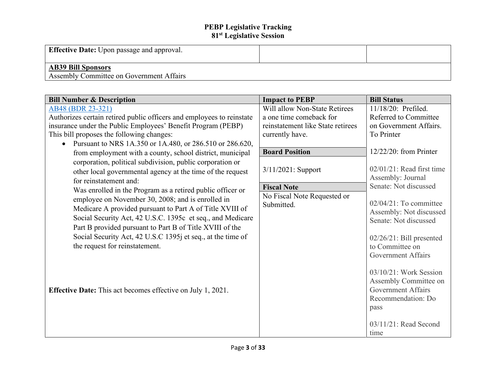| <b>Effective Date:</b> Upon passage and approval.                     |  |
|-----------------------------------------------------------------------|--|
| <b>AB39 Bill Sponsors</b><br>Assembly Committee on Government Affairs |  |

| <b>Bill Number &amp; Description</b>                                  | <b>Impact to PEBP</b>             | <b>Bill Status</b>                               |
|-----------------------------------------------------------------------|-----------------------------------|--------------------------------------------------|
| AB48 (BDR 23-321)                                                     | Will allow Non-State Retirees     | 11/18/20: Prefiled.                              |
| Authorizes certain retired public officers and employees to reinstate | a one time comeback for           | Referred to Committee                            |
| insurance under the Public Employees' Benefit Program (PEBP)          | reinstatement like State retirees | on Government Affairs.                           |
| This bill proposes the following changes:                             | currently have.                   | To Printer                                       |
| Pursuant to NRS 1A.350 or 1A.480, or 286.510 or 286.620,<br>$\bullet$ |                                   |                                                  |
| from employment with a county, school district, municipal             | <b>Board Position</b>             | $12/22/20$ : from Printer                        |
| corporation, political subdivision, public corporation or             |                                   |                                                  |
| other local governmental agency at the time of the request            | $3/11/2021$ : Support             | $02/01/21$ : Read first time                     |
| for reinstatement and:                                                |                                   | Assembly: Journal                                |
| Was enrolled in the Program as a retired public officer or            | <b>Fiscal Note</b>                | Senate: Not discussed                            |
| employee on November 30, 2008; and is enrolled in                     | No Fiscal Note Requested or       |                                                  |
| Medicare A provided pursuant to Part A of Title XVIII of              | Submitted.                        | $02/04/21$ : To committee                        |
| Social Security Act, 42 U.S.C. 1395c et seq., and Medicare            |                                   | Assembly: Not discussed<br>Senate: Not discussed |
| Part B provided pursuant to Part B of Title XVIII of the              |                                   |                                                  |
| Social Security Act, 42 U.S.C 1395j et seq., at the time of           |                                   | $02/26/21$ : Bill presented                      |
| the request for reinstatement.                                        |                                   | to Committee on                                  |
|                                                                       |                                   | <b>Government Affairs</b>                        |
|                                                                       |                                   |                                                  |
|                                                                       |                                   | $03/10/21$ : Work Session                        |
|                                                                       |                                   | Assembly Committee on                            |
| <b>Effective Date:</b> This act becomes effective on July 1, 2021.    |                                   | <b>Government Affairs</b>                        |
|                                                                       |                                   | Recommendation: Do                               |
|                                                                       |                                   | pass                                             |
|                                                                       |                                   |                                                  |
|                                                                       |                                   | 03/11/21: Read Second                            |
|                                                                       |                                   | time                                             |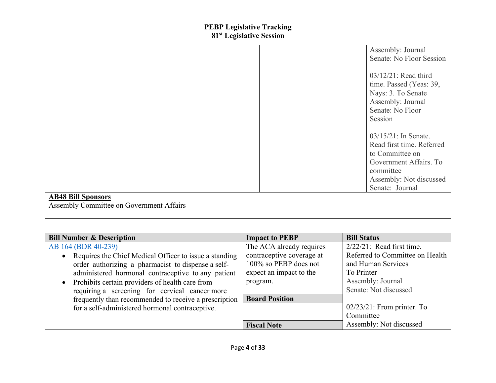|                                          | Assembly: Journal         |
|------------------------------------------|---------------------------|
|                                          | Senate: No Floor Session  |
|                                          | $03/12/21$ : Read third   |
|                                          | time. Passed (Yeas: 39,   |
|                                          | Nays: 3. To Senate        |
|                                          | Assembly: Journal         |
|                                          | Senate: No Floor          |
|                                          | Session                   |
|                                          |                           |
|                                          | $03/15/21$ : In Senate.   |
|                                          | Read first time. Referred |
|                                          | to Committee on           |
|                                          | Government Affairs. To    |
|                                          | committee                 |
|                                          | Assembly: Not discussed   |
|                                          | Senate: Journal           |
| <b>AB48 Bill Sponsors</b>                |                           |
| Assembly Committee on Government Affairs |                           |
|                                          |                           |

| <b>Bill Number &amp; Description</b>                     | <b>Impact to PEBP</b>     | <b>Bill Status</b>              |
|----------------------------------------------------------|---------------------------|---------------------------------|
| AB 164 (BDR 40-239)                                      | The ACA already requires  | $2/22/21$ : Read first time.    |
| • Requires the Chief Medical Officer to issue a standing | contraceptive coverage at | Referred to Committee on Health |
| order authorizing a pharmacist to dispense a self-       | 100% so PEBP does not     | and Human Services              |
| administered hormonal contraceptive to any patient       | expect an impact to the   | To Printer                      |
| • Prohibits certain providers of health care from        | program.                  | Assembly: Journal               |
| requiring a screening for cervical cancer more           |                           | Senate: Not discussed           |
| frequently than recommended to receive a prescription    | <b>Board Position</b>     |                                 |
| for a self-administered hormonal contraceptive.          |                           | $02/23/21$ : From printer. To   |
|                                                          |                           | Committee                       |
|                                                          | <b>Fiscal Note</b>        | Assembly: Not discussed         |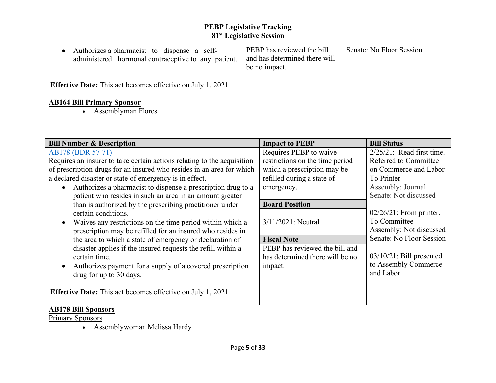| Authorizes a pharmacist to dispense a self-<br>administered hormonal contraceptive to any patient. | PEBP has reviewed the bill<br>and has determined there will<br>be no impact. | Senate: No Floor Session |
|----------------------------------------------------------------------------------------------------|------------------------------------------------------------------------------|--------------------------|
| <b>Effective Date:</b> This act becomes effective on July 1, 2021                                  |                                                                              |                          |
| <b>AB164 Bill Primary Sponsor</b><br>Assemblyman Flores                                            |                                                                              |                          |

| <b>Bill Number &amp; Description</b>                                      | <b>Impact to PEBP</b>           | <b>Bill Status</b>           |
|---------------------------------------------------------------------------|---------------------------------|------------------------------|
| AB178 (BDR 57-71)                                                         | Requires PEBP to waive          | $2/25/21$ : Read first time. |
| Requires an insurer to take certain actions relating to the acquisition   | restrictions on the time period | Referred to Committee        |
| of prescription drugs for an insured who resides in an area for which     | which a prescription may be     | on Commerce and Labor        |
| a declared disaster or state of emergency is in effect.                   | refilled during a state of      | To Printer                   |
| Authorizes a pharmacist to dispense a prescription drug to a<br>$\bullet$ | emergency.                      | Assembly: Journal            |
| patient who resides in such an area in an amount greater                  |                                 | Senate: Not discussed        |
| than is authorized by the prescribing practitioner under                  | <b>Board Position</b>           |                              |
| certain conditions.                                                       |                                 | $02/26/21$ : From printer.   |
| Waives any restrictions on the time period within which a<br>$\bullet$    | $3/11/2021$ : Neutral           | To Committee                 |
| prescription may be refilled for an insured who resides in                |                                 | Assembly: Not discussed      |
| the area to which a state of emergency or declaration of                  | <b>Fiscal Note</b>              | Senate: No Floor Session     |
| disaster applies if the insured requests the refill within a              | PEBP has reviewed the bill and  |                              |
| certain time.                                                             | has determined there will be no | $03/10/21$ : Bill presented  |
| Authorizes payment for a supply of a covered prescription<br>$\bullet$    | impact.                         | to Assembly Commerce         |
| drug for up to 30 days.                                                   |                                 | and Labor                    |
|                                                                           |                                 |                              |
| <b>Effective Date:</b> This act becomes effective on July 1, 2021         |                                 |                              |
|                                                                           |                                 |                              |
| <b>AB178 Bill Sponsors</b>                                                |                                 |                              |
| <b>Primary Sponsors</b>                                                   |                                 |                              |
| Assemblywoman Melissa Hardy                                               |                                 |                              |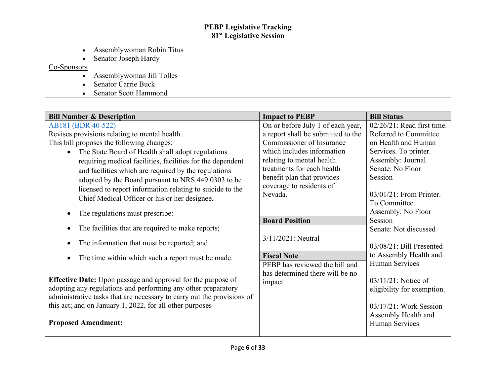- Assemblywoman Robin Titus
- Senator Joseph Hardy

# Co-Sponsors

- Assemblywoman Jill Tolles
- Senator Carrie Buck
- Senator Scott Hammond

| <b>Bill Number &amp; Description</b>                                   | <b>Impact to PEBP</b>              | <b>Bill Status</b>                       |
|------------------------------------------------------------------------|------------------------------------|------------------------------------------|
| AB181 (BDR 40-522)                                                     | On or before July 1 of each year,  | $02/26/21$ : Read first time.            |
| Revises provisions relating to mental health.                          | a report shall be submitted to the | Referred to Committee                    |
| This bill proposes the following changes:                              | Commissioner of Insurance          | on Health and Human                      |
| • The State Board of Health shall adopt regulations                    | which includes information         | Services. To printer.                    |
| requiring medical facilities, facilities for the dependent             | relating to mental health          | Assembly: Journal                        |
| and facilities which are required by the regulations                   | treatments for each health         | Senate: No Floor                         |
| adopted by the Board pursuant to NRS 449.0303 to be                    | benefit plan that provides         | Session                                  |
| licensed to report information relating to suicide to the              | coverage to residents of           |                                          |
| Chief Medical Officer or his or her designee.                          | Nevada.                            | $03/01/21$ : From Printer.               |
|                                                                        |                                    | To Committee.                            |
| The regulations must prescribe:<br>$\bullet$                           |                                    | Assembly: No Floor                       |
|                                                                        | <b>Board Position</b>              | Session                                  |
| The facilities that are required to make reports;<br>$\bullet$         |                                    | Senate: Not discussed                    |
| The information that must be reported; and<br>$\bullet$                | 3/11/2021: Neutral                 | 03/08/21: Bill Presented                 |
|                                                                        |                                    |                                          |
| The time within which such a report must be made.<br>$\bullet$         | <b>Fiscal Note</b>                 | to Assembly Health and<br>Human Services |
|                                                                        | PEBP has reviewed the bill and     |                                          |
| Effective Date: Upon passage and approval for the purpose of           | has determined there will be no    | $03/11/21$ : Notice of                   |
| adopting any regulations and performing any other preparatory          | impact.                            | eligibility for exemption.               |
| administrative tasks that are necessary to carry out the provisions of |                                    |                                          |
| this act; and on January 1, 2022, for all other purposes               |                                    | $03/17/21$ : Work Session                |
|                                                                        |                                    | Assembly Health and                      |
| <b>Proposed Amendment:</b>                                             |                                    | Human Services                           |
|                                                                        |                                    |                                          |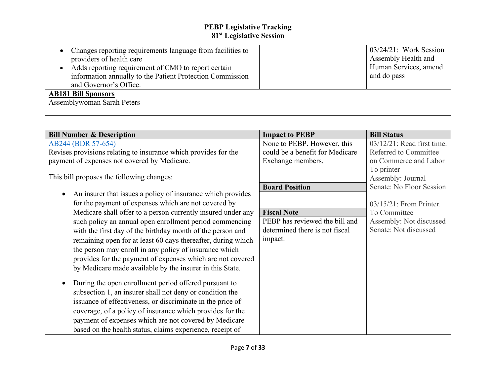| • Changes reporting requirements language from facilities to     | $03/24/21$ : Work Session |
|------------------------------------------------------------------|---------------------------|
| providers of health care                                         | Assembly Health and       |
| Adds reporting requirement of CMO to report certain<br>$\bullet$ | Human Services, amend     |
| information annually to the Patient Protection Commission        | and do pass               |
| and Governor's Office.                                           |                           |
| <b>AB181 Bill Sponsors</b>                                       |                           |
| Assemblywoman Sarah Peters                                       |                           |
|                                                                  |                           |

| <b>Bill Number &amp; Description</b>                                     | <b>Impact to PEBP</b>           | <b>Bill Status</b>         |
|--------------------------------------------------------------------------|---------------------------------|----------------------------|
| AB244 (BDR 57-654)                                                       | None to PEBP. However, this     | 03/12/21: Read first time. |
| Revises provisions relating to insurance which provides for the          | could be a benefit for Medicare | Referred to Committee      |
| payment of expenses not covered by Medicare.                             | Exchange members.               | on Commerce and Labor      |
|                                                                          |                                 | To printer                 |
| This bill proposes the following changes:                                |                                 | Assembly: Journal          |
|                                                                          | <b>Board Position</b>           | Senate: No Floor Session   |
| An insurer that issues a policy of insurance which provides<br>$\bullet$ |                                 |                            |
| for the payment of expenses which are not covered by                     |                                 | $03/15/21$ : From Printer. |
| Medicare shall offer to a person currently insured under any             | <b>Fiscal Note</b>              | To Committee               |
| such policy an annual open enrollment period commencing                  | PEBP has reviewed the bill and  | Assembly: Not discussed    |
| with the first day of the birthday month of the person and               | determined there is not fiscal  | Senate: Not discussed      |
| remaining open for at least 60 days thereafter, during which             | impact.                         |                            |
| the person may enroll in any policy of insurance which                   |                                 |                            |
| provides for the payment of expenses which are not covered               |                                 |                            |
| by Medicare made available by the insurer in this State.                 |                                 |                            |
|                                                                          |                                 |                            |
| During the open enrollment period offered pursuant to<br>$\bullet$       |                                 |                            |
| subsection 1, an insurer shall not deny or condition the                 |                                 |                            |
| issuance of effectiveness, or discriminate in the price of               |                                 |                            |
| coverage, of a policy of insurance which provides for the                |                                 |                            |
| payment of expenses which are not covered by Medicare                    |                                 |                            |
| based on the health status, claims experience, receipt of                |                                 |                            |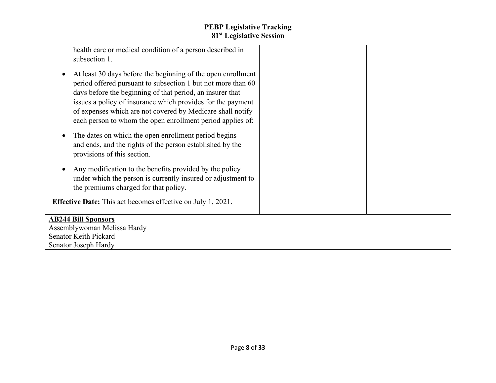| health care or medical condition of a person described in          |  |
|--------------------------------------------------------------------|--|
| subsection 1.                                                      |  |
|                                                                    |  |
| At least 30 days before the beginning of the open enrollment       |  |
|                                                                    |  |
| period offered pursuant to subsection 1 but not more than 60       |  |
| days before the beginning of that period, an insurer that          |  |
| issues a policy of insurance which provides for the payment        |  |
| of expenses which are not covered by Medicare shall notify         |  |
|                                                                    |  |
| each person to whom the open enrollment period applies of:         |  |
| The dates on which the open enrollment period begins               |  |
|                                                                    |  |
| and ends, and the rights of the person established by the          |  |
| provisions of this section.                                        |  |
|                                                                    |  |
| Any modification to the benefits provided by the policy            |  |
| under which the person is currently insured or adjustment to       |  |
| the premiums charged for that policy.                              |  |
|                                                                    |  |
| <b>Effective Date:</b> This act becomes effective on July 1, 2021. |  |
|                                                                    |  |
| <b>AB244 Bill Sponsors</b>                                         |  |
| Assemblywoman Melissa Hardy                                        |  |
| Senator Keith Pickard                                              |  |
| Senator Joseph Hardy                                               |  |
|                                                                    |  |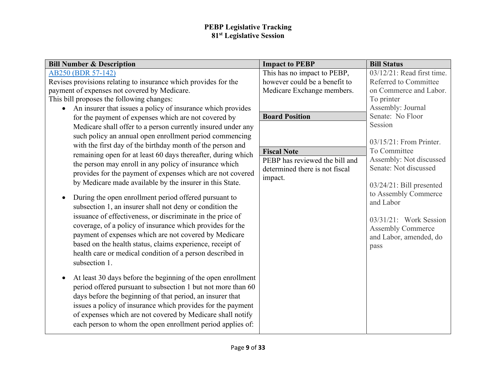| <b>Bill Number &amp; Description</b>                                      | <b>Impact to PEBP</b>                                            | <b>Bill Status</b>                      |
|---------------------------------------------------------------------------|------------------------------------------------------------------|-----------------------------------------|
| AB250 (BDR 57-142)                                                        | This has no impact to PEBP,                                      | 03/12/21: Read first time.              |
| Revises provisions relating to insurance which provides for the           | however could be a benefit to                                    | Referred to Committee                   |
| payment of expenses not covered by Medicare.                              | Medicare Exchange members.                                       | on Commerce and Labor.                  |
| This bill proposes the following changes:                                 |                                                                  | To printer                              |
| An insurer that issues a policy of insurance which provides<br>$\bullet$  |                                                                  | Assembly: Journal                       |
| for the payment of expenses which are not covered by                      | <b>Board Position</b>                                            | Senate: No Floor                        |
| Medicare shall offer to a person currently insured under any              |                                                                  | Session                                 |
| such policy an annual open enrollment period commencing                   |                                                                  |                                         |
| with the first day of the birthday month of the person and                |                                                                  | 03/15/21: From Printer.<br>To Committee |
| remaining open for at least 60 days thereafter, during which              | <b>Fiscal Note</b>                                               | Assembly: Not discussed                 |
| the person may enroll in any policy of insurance which                    | PEBP has reviewed the bill and<br>determined there is not fiscal | Senate: Not discussed                   |
| provides for the payment of expenses which are not covered                | impact.                                                          |                                         |
| by Medicare made available by the insurer in this State.                  |                                                                  | $03/24/21$ : Bill presented             |
|                                                                           |                                                                  | to Assembly Commerce                    |
| During the open enrollment period offered pursuant to<br>$\bullet$        |                                                                  | and Labor                               |
| subsection 1, an insurer shall not deny or condition the                  |                                                                  |                                         |
| issuance of effectiveness, or discriminate in the price of                |                                                                  | $03/31/21$ : Work Session               |
| coverage, of a policy of insurance which provides for the                 |                                                                  | <b>Assembly Commerce</b>                |
| payment of expenses which are not covered by Medicare                     |                                                                  | and Labor, amended, do                  |
| based on the health status, claims experience, receipt of                 |                                                                  | pass                                    |
| health care or medical condition of a person described in                 |                                                                  |                                         |
| subsection 1.                                                             |                                                                  |                                         |
| At least 30 days before the beginning of the open enrollment<br>$\bullet$ |                                                                  |                                         |
| period offered pursuant to subsection 1 but not more than 60              |                                                                  |                                         |
| days before the beginning of that period, an insurer that                 |                                                                  |                                         |
| issues a policy of insurance which provides for the payment               |                                                                  |                                         |
|                                                                           |                                                                  |                                         |
| of expenses which are not covered by Medicare shall notify                |                                                                  |                                         |
| each person to whom the open enrollment period applies of:                |                                                                  |                                         |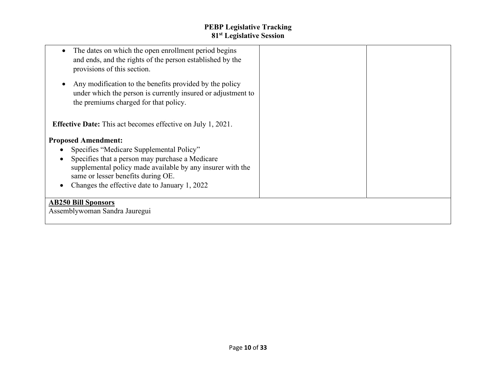| The dates on which the open enrollment period begins<br>and ends, and the rights of the person established by the<br>provisions of this section.                                                                                                                               |  |
|--------------------------------------------------------------------------------------------------------------------------------------------------------------------------------------------------------------------------------------------------------------------------------|--|
| Any modification to the benefits provided by the policy<br>under which the person is currently insured or adjustment to<br>the premiums charged for that policy.                                                                                                               |  |
| <b>Effective Date:</b> This act becomes effective on July 1, 2021.                                                                                                                                                                                                             |  |
| <b>Proposed Amendment:</b><br>Specifies "Medicare Supplemental Policy"<br>Specifies that a person may purchase a Medicare<br>supplemental policy made available by any insurer with the<br>same or lesser benefits during OE.<br>Changes the effective date to January 1, 2022 |  |
| <b>AB250 Bill Sponsors</b><br>Assemblywoman Sandra Jauregui                                                                                                                                                                                                                    |  |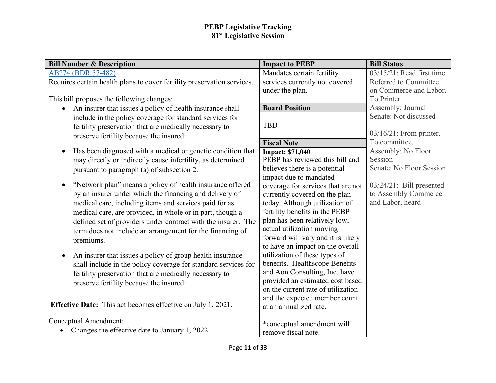| <b>Bill Number &amp; Description</b>                                     | <b>Impact to PEBP</b>                                                  | <b>Bill Status</b>          |
|--------------------------------------------------------------------------|------------------------------------------------------------------------|-----------------------------|
| AB274 (BDR 57-482)                                                       | Mandates certain fertility                                             | 03/15/21: Read first time.  |
| Requires certain health plans to cover fertility preservation services.  | services currently not covered                                         | Referred to Committee       |
|                                                                          | under the plan.                                                        | on Commerce and Labor.      |
| This bill proposes the following changes:                                |                                                                        | To Printer.                 |
| An insurer that issues a policy of health insurance shall<br>$\bullet$   | <b>Board Position</b>                                                  | Assembly: Journal           |
| include in the policy coverage for standard services for                 |                                                                        | Senate: Not discussed       |
| fertility preservation that are medically necessary to                   | <b>TBD</b>                                                             |                             |
| preserve fertility because the insured:                                  |                                                                        | $03/16/21$ : From printer.  |
|                                                                          | <b>Fiscal Note</b>                                                     | To committee.               |
| Has been diagnosed with a medical or genetic condition that<br>$\bullet$ | <b>Impact: \$71,040</b>                                                | Assembly: No Floor          |
| may directly or indirectly cause infertility, as determined              | PEBP has reviewed this bill and                                        | Session                     |
| pursuant to paragraph (a) of subsection 2.                               | believes there is a potential                                          | Senate: No Floor Session    |
|                                                                          | impact due to mandated                                                 |                             |
| "Network plan" means a policy of health insurance offered<br>$\bullet$   | coverage for services that are not                                     | $03/24/21$ : Bill presented |
| by an insurer under which the financing and delivery of                  | currently covered on the plan                                          | to Assembly Commerce        |
| medical care, including items and services paid for as                   | today. Although utilization of                                         | and Labor, heard            |
| medical care, are provided, in whole or in part, though a                | fertility benefits in the PEBP                                         |                             |
| defined set of providers under contract with the insurer. The            | plan has been relatively low,                                          |                             |
| term does not include an arrangement for the financing of                | actual utilization moving                                              |                             |
| premiums.                                                                | forward will vary and it is likely                                     |                             |
|                                                                          | to have an impact on the overall                                       |                             |
| An insurer that issues a policy of group health insurance<br>$\bullet$   | utilization of these types of                                          |                             |
| shall include in the policy coverage for standard services for           | benefits. Healthscope Benefits                                         |                             |
| fertility preservation that are medically necessary to                   | and Aon Consulting, Inc. have                                          |                             |
| preserve fertility because the insured:                                  | provided an estimated cost based<br>on the current rate of utilization |                             |
|                                                                          | and the expected member count                                          |                             |
| <b>Effective Date:</b> This act becomes effective on July 1, 2021.       | at an annualized rate.                                                 |                             |
|                                                                          |                                                                        |                             |
| Conceptual Amendment:                                                    | *conceptual amendment will                                             |                             |
| • Changes the effective date to January 1, 2022                          | remove fiscal note.                                                    |                             |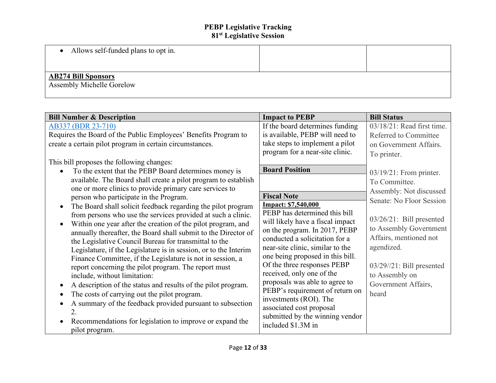| Allows self-funded plans to opt in.                     |  |
|---------------------------------------------------------|--|
| <b>AB274 Bill Sponsors</b><br>Assembly Michelle Gorelow |  |

| <b>Bill Number &amp; Description</b>                             | <b>Impact to PEBP</b>                                     | <b>Bill Status</b>           |
|------------------------------------------------------------------|-----------------------------------------------------------|------------------------------|
| AB337 (BDR 23-710)                                               | If the board determines funding                           | 03/18/21: Read first time.   |
| Requires the Board of the Public Employees' Benefits Program to  | is available, PEBP will need to                           | Referred to Committee        |
| create a certain pilot program in certain circumstances.         | take steps to implement a pilot                           | on Government Affairs.       |
|                                                                  | program for a near-site clinic.                           | To printer.                  |
| This bill proposes the following changes:                        |                                                           |                              |
| To the extent that the PEBP Board determines money is            | <b>Board Position</b>                                     | $03/19/21$ : From printer.   |
| available. The Board shall create a pilot program to establish   |                                                           | To Committee.                |
| one or more clinics to provide primary care services to          |                                                           | Assembly: Not discussed      |
| person who participate in the Program.                           | <b>Fiscal Note</b>                                        | Senate: No Floor Session     |
| The Board shall solicit feedback regarding the pilot program     | <b>Impact: \$7,540,000</b>                                |                              |
| from persons who use the services provided at such a clinic.     | PEBP has determined this bill                             | $03/26/21$ : Bill presented  |
| Within one year after the creation of the pilot program, and     | will likely have a fiscal impact                          | to Assembly Government       |
| annually thereafter, the Board shall submit to the Director of   | on the program. In 2017, PEBP                             | Affairs, mentioned not       |
| the Legislative Council Bureau for transmittal to the            | conducted a solicitation for a                            |                              |
| Legislature, if the Legislature is in session, or to the Interim | near-site clinic, similar to the                          | agendized.                   |
| Finance Committee, if the Legislature is not in session, a       | one being proposed in this bill.                          |                              |
| report concerning the pilot program. The report must             | Of the three responses PEBP                               | $03/29$ //21: Bill presented |
| include, without limitation:                                     | received, only one of the                                 | to Assembly on               |
| A description of the status and results of the pilot program.    | proposals was able to agree to                            | Government Affairs,          |
| The costs of carrying out the pilot program.                     | PEBP's requirement of return on<br>investments (ROI). The | heard                        |
| A summary of the feedback provided pursuant to subsection        | associated cost proposal                                  |                              |
| 2.                                                               | submitted by the winning vendor                           |                              |
| Recommendations for legislation to improve or expand the         | included \$1.3M in                                        |                              |
| pilot program.                                                   |                                                           |                              |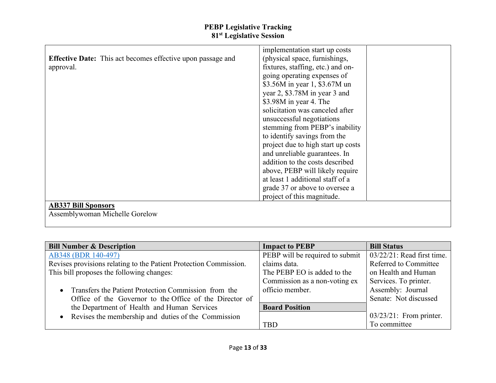|                                                                    | implementation start up costs      |
|--------------------------------------------------------------------|------------------------------------|
| <b>Effective Date:</b> This act becomes effective upon passage and | (physical space, furnishings,      |
| approval.                                                          | fixtures, staffing, etc.) and on-  |
|                                                                    | going operating expenses of        |
|                                                                    | \$3.56M in year 1, \$3.67M un      |
|                                                                    | year 2, \$3.78M in year 3 and      |
|                                                                    | \$3.98M in year 4. The             |
|                                                                    | solicitation was canceled after    |
|                                                                    | unsuccessful negotiations          |
|                                                                    | stemming from PEBP's inability     |
|                                                                    | to identify savings from the       |
|                                                                    | project due to high start up costs |
|                                                                    | and unreliable guarantees. In      |
|                                                                    | addition to the costs described    |
|                                                                    | above, PEBP will likely require    |
|                                                                    | at least 1 additional staff of a   |
|                                                                    | grade 37 or above to oversee a     |
|                                                                    | project of this magnitude.         |
| <b>AB337 Bill Sponsors</b>                                         |                                    |
| Assemblywoman Michelle Gorelow                                     |                                    |

| <b>Bill Number &amp; Description</b>                              | <b>Impact to PEBP</b>           | <b>Bill Status</b>            |
|-------------------------------------------------------------------|---------------------------------|-------------------------------|
| AB348 (BDR 140-497)                                               | PEBP will be required to submit | $03/22/21$ : Read first time. |
| Revises provisions relating to the Patient Protection Commission. | claims data.                    | Referred to Committee         |
| This bill proposes the following changes:                         | The PEBP EO is added to the     | on Health and Human           |
|                                                                   | Commission as a non-voting ex   | Services. To printer.         |
| • Transfers the Patient Protection Commission from the            | officio member.                 | Assembly: Journal             |
| Office of the Governor to the Office of the Director of           |                                 | Senate: Not discussed         |
| the Department of Health and Human Services                       | <b>Board Position</b>           |                               |
| Revises the membership and duties of the Commission               |                                 | $03/23/21$ : From printer.    |
|                                                                   | <b>TBD</b>                      | To committee                  |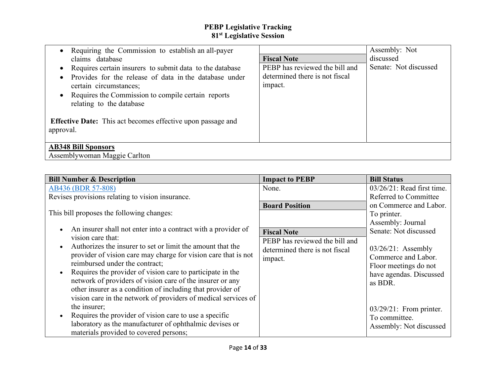| Requiring the Commission to establish an all-payer<br>claims database<br>• Requires certain insurers to submit data to the database<br>Provides for the release of data in the database under<br>certain circumstances;<br>• Requires the Commission to compile certain reports<br>relating to the database<br><b>Effective Date:</b> This act becomes effective upon passage and<br>approval. | <b>Fiscal Note</b><br>PEBP has reviewed the bill and<br>determined there is not fiscal<br>impact. | Assembly: Not<br>discussed<br>Senate: Not discussed |
|------------------------------------------------------------------------------------------------------------------------------------------------------------------------------------------------------------------------------------------------------------------------------------------------------------------------------------------------------------------------------------------------|---------------------------------------------------------------------------------------------------|-----------------------------------------------------|
| <b>AB348 Bill Sponsors</b><br>Assemblywoman Maggie Carlton                                                                                                                                                                                                                                                                                                                                     |                                                                                                   |                                                     |

| <b>Bill Number &amp; Description</b>                                                                                                                                                                                                                    | <b>Impact to PEBP</b>                                                         | <b>Bill Status</b>                                                                  |
|---------------------------------------------------------------------------------------------------------------------------------------------------------------------------------------------------------------------------------------------------------|-------------------------------------------------------------------------------|-------------------------------------------------------------------------------------|
| AB436 (BDR 57-808)                                                                                                                                                                                                                                      | None.                                                                         | $03/26/21$ : Read first time.                                                       |
| Revises provisions relating to vision insurance.                                                                                                                                                                                                        |                                                                               | Referred to Committee                                                               |
| This bill proposes the following changes:<br>An insurer shall not enter into a contract with a provider of<br>vision care that:                                                                                                                         | <b>Board Position</b><br><b>Fiscal Note</b><br>PEBP has reviewed the bill and | on Commerce and Labor.<br>To printer.<br>Assembly: Journal<br>Senate: Not discussed |
| Authorizes the insurer to set or limit the amount that the<br>provider of vision care may charge for vision care that is not<br>reimbursed under the contract;                                                                                          | determined there is not fiscal<br>impact.                                     | $03/26/21$ : Assembly<br>Commerce and Labor.<br>Floor meetings do not               |
| Requires the provider of vision care to participate in the<br>network of providers of vision care of the insurer or any<br>other insurer as a condition of including that provider of<br>vision care in the network of providers of medical services of |                                                                               | have agendas. Discussed<br>as BDR.                                                  |
| the insurer;<br>Requires the provider of vision care to use a specific<br>laboratory as the manufacturer of ophthalmic devises or<br>materials provided to covered persons;                                                                             |                                                                               | $03/29/21$ : From printer.<br>To committee.<br>Assembly: Not discussed              |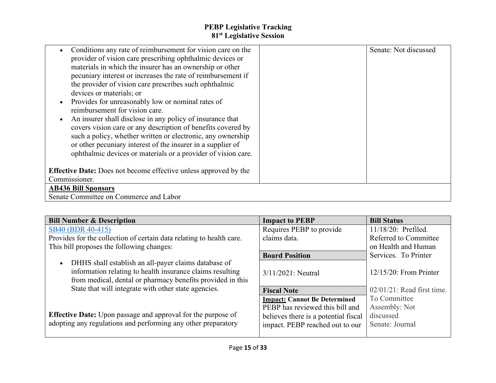| Conditions any rate of reimbursement for vision care on the<br>provider of vision care prescribing ophthalmic devices or<br>materials in which the insurer has an ownership or other<br>pecuniary interest or increases the rate of reimbursement if<br>the provider of vision care prescribes such ophthalmic<br>devices or materials; or<br>Provides for unreasonably low or nominal rates of<br>reimbursement for vision care.<br>An insurer shall disclose in any policy of insurance that<br>covers vision care or any description of benefits covered by<br>such a policy, whether written or electronic, any ownership<br>or other pecuniary interest of the insurer in a supplier of<br>ophthalmic devices or materials or a provider of vision care. | Senate: Not discussed |
|---------------------------------------------------------------------------------------------------------------------------------------------------------------------------------------------------------------------------------------------------------------------------------------------------------------------------------------------------------------------------------------------------------------------------------------------------------------------------------------------------------------------------------------------------------------------------------------------------------------------------------------------------------------------------------------------------------------------------------------------------------------|-----------------------|
| <b>Effective Date:</b> Does not become effective unless approved by the                                                                                                                                                                                                                                                                                                                                                                                                                                                                                                                                                                                                                                                                                       |                       |
| Commissioner.                                                                                                                                                                                                                                                                                                                                                                                                                                                                                                                                                                                                                                                                                                                                                 |                       |
| <b>AB436 Bill Sponsors</b>                                                                                                                                                                                                                                                                                                                                                                                                                                                                                                                                                                                                                                                                                                                                    |                       |
| Senate Committee on Commerce and Labor                                                                                                                                                                                                                                                                                                                                                                                                                                                                                                                                                                                                                                                                                                                        |                       |

| <b>Bill Number &amp; Description</b>                                                                                                                                            | <b>Impact to PEBP</b>                | <b>Bill Status</b>            |
|---------------------------------------------------------------------------------------------------------------------------------------------------------------------------------|--------------------------------------|-------------------------------|
| SB40 (BDR 40-415)                                                                                                                                                               | Requires PEBP to provide             | 11/18/20: Prefiled.           |
| Provides for the collection of certain data relating to health care.                                                                                                            | claims data.                         | Referred to Committee         |
| This bill proposes the following changes:                                                                                                                                       |                                      | on Health and Human           |
|                                                                                                                                                                                 | <b>Board Position</b>                | Services. To Printer          |
| DHHS shall establish an all-payer claims database of<br>information relating to health insurance claims resulting<br>from medical, dental or pharmacy benefits provided in this | $3/11/2021$ : Neutral                | $12/15/20$ : From Printer     |
| State that will integrate with other state agencies.                                                                                                                            | <b>Fiscal Note</b>                   | $02/01/21$ : Read first time. |
|                                                                                                                                                                                 | <b>Impact: Cannot Be Determined</b>  | To Committee                  |
|                                                                                                                                                                                 | PEBP has reviewed this bill and      | Assembly: Not                 |
| Effective Date: Upon passage and approval for the purpose of                                                                                                                    | believes there is a potential fiscal | discussed                     |
| adopting any regulations and performing any other preparatory                                                                                                                   | impact. PEBP reached out to our      | Senate: Journal               |
|                                                                                                                                                                                 |                                      |                               |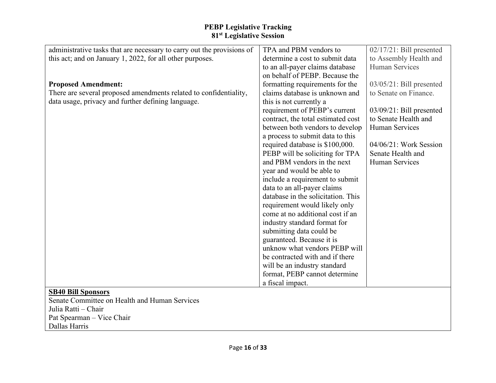| administrative tasks that are necessary to carry out the provisions of | TPA and PBM vendors to             | $02/17/21$ : Bill presented |
|------------------------------------------------------------------------|------------------------------------|-----------------------------|
| this act; and on January 1, 2022, for all other purposes.              | determine a cost to submit data    | to Assembly Health and      |
|                                                                        | to an all-payer claims database    | Human Services              |
|                                                                        | on behalf of PEBP. Because the     |                             |
| <b>Proposed Amendment:</b>                                             | formatting requirements for the    | 03/05/21: Bill presented    |
| There are several proposed amendments related to confidentiality,      | claims database is unknown and     | to Senate on Finance.       |
| data usage, privacy and further defining language.                     | this is not currently a            |                             |
|                                                                        | requirement of PEBP's current      | $03/09/21$ : Bill presented |
|                                                                        | contract, the total estimated cost | to Senate Health and        |
|                                                                        | between both vendors to develop    | <b>Human Services</b>       |
|                                                                        | a process to submit data to this   |                             |
|                                                                        | required database is \$100,000.    | 04/06/21: Work Session      |
|                                                                        | PEBP will be soliciting for TPA    | Senate Health and           |
|                                                                        | and PBM vendors in the next        | Human Services              |
|                                                                        | year and would be able to          |                             |
|                                                                        | include a requirement to submit    |                             |
|                                                                        | data to an all-payer claims        |                             |
|                                                                        | database in the solicitation. This |                             |
|                                                                        | requirement would likely only      |                             |
|                                                                        | come at no additional cost if an   |                             |
|                                                                        | industry standard format for       |                             |
|                                                                        | submitting data could be           |                             |
|                                                                        | guaranteed. Because it is          |                             |
|                                                                        | unknow what vendors PEBP will      |                             |
|                                                                        | be contracted with and if there    |                             |
|                                                                        | will be an industry standard       |                             |
|                                                                        | format, PEBP cannot determine      |                             |
|                                                                        | a fiscal impact.                   |                             |
| <b>SB40 Bill Sponsors</b>                                              |                                    |                             |
| Senate Committee on Health and Human Services                          |                                    |                             |
| Julia Ratti - Chair                                                    |                                    |                             |
| Pat Spearman - Vice Chair                                              |                                    |                             |
| Dallas Harris                                                          |                                    |                             |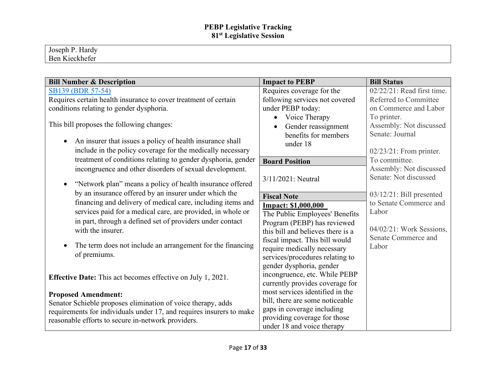| $\mathbf{r}$<br>$\mathbf r$<br>Hardv<br>Tosenh |  |  |
|------------------------------------------------|--|--|
| $ -$<br>Ben<br>. Kieckhefer                    |  |  |

| <b>Bill Number &amp; Description</b>                                   | <b>Impact to PEBP</b>             | <b>Bill Status</b>          |
|------------------------------------------------------------------------|-----------------------------------|-----------------------------|
| SB139 (BDR 57-54)                                                      | Requires coverage for the         | 02/22/21: Read first time.  |
| Requires certain health insurance to cover treatment of certain        | following services not covered    | Referred to Committee       |
| conditions relating to gender dysphoria.                               | under PEBP today:                 | on Commerce and Labor       |
|                                                                        | Voice Therapy<br>$\bullet$        | To printer.                 |
| This bill proposes the following changes:                              | Gender reassignment<br>$\bullet$  | Assembly: Not discussed     |
|                                                                        | benefits for members              | Senate: Journal             |
| An insurer that issues a policy of health insurance shall<br>$\bullet$ | under 18                          |                             |
| include in the policy coverage for the medically necessary             |                                   | $02/23/21$ : From printer.  |
| treatment of conditions relating to gender dysphoria, gender           | <b>Board Position</b>             | To committee.               |
| incongruence and other disorders of sexual development.                |                                   | Assembly: Not discussed     |
|                                                                        | 3/11/2021: Neutral                | Senate: Not discussed       |
| "Network plan" means a policy of health insurance offered              |                                   |                             |
| by an insurance offered by an insurer under which the                  | <b>Fiscal Note</b>                | $03/12/21$ : Bill presented |
| financing and delivery of medical care, including items and            | <b>Impact: \$1,000,000</b>        | to Senate Commerce and      |
| services paid for a medical care, are provided, in whole or            | The Public Employees' Benefits    | Labor                       |
| in part, through a defined set of providers under contact              | Program (PEBP) has reviewed       |                             |
| with the insurer.                                                      | this bill and believes there is a | 04/02/21: Work Sessions,    |
|                                                                        | fiscal impact. This bill would    | Senate Commerce and         |
| The term does not include an arrangement for the financing             | require medically necessary       | Labor                       |
| of premiums.                                                           | services/procedures relating to   |                             |
|                                                                        | gender dysphoria, gender          |                             |
| <b>Effective Date:</b> This act becomes effective on July 1, 2021.     | incongruence, etc. While PEBP     |                             |
|                                                                        | currently provides coverage for   |                             |
| <b>Proposed Amendment:</b>                                             | most services identified in the   |                             |
| Senator Schieble proposes elimination of voice therapy, adds           | bill, there are some noticeable   |                             |
| requirements for individuals under 17, and requires insurers to make   | gaps in coverage including        |                             |
| reasonable efforts to secure in-network providers.                     | providing coverage for those      |                             |
|                                                                        | under 18 and voice therapy        |                             |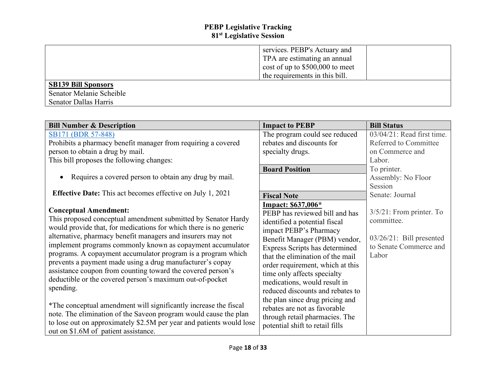|                              | services. PEBP's Actuary and        |  |
|------------------------------|-------------------------------------|--|
|                              | TPA are estimating an annual        |  |
|                              | $\cos t$ of up to \$500,000 to meet |  |
|                              | the requirements in this bill.      |  |
| <b>SB139 Bill Sponsors</b>   |                                     |  |
| Senator Melanie Scheible     |                                     |  |
| <b>Senator Dallas Harris</b> |                                     |  |

| <b>Bill Number &amp; Description</b>                                                                                                                                                                                                                                                                                                                                                                                                                                                                                                                                                                                                                                                                                                                                                                                         | <b>Impact to PEBP</b>                                                                                                                                                                                                                                                                                                                                                                                                                                                                                 | <b>Bill Status</b>                                                                                          |
|------------------------------------------------------------------------------------------------------------------------------------------------------------------------------------------------------------------------------------------------------------------------------------------------------------------------------------------------------------------------------------------------------------------------------------------------------------------------------------------------------------------------------------------------------------------------------------------------------------------------------------------------------------------------------------------------------------------------------------------------------------------------------------------------------------------------------|-------------------------------------------------------------------------------------------------------------------------------------------------------------------------------------------------------------------------------------------------------------------------------------------------------------------------------------------------------------------------------------------------------------------------------------------------------------------------------------------------------|-------------------------------------------------------------------------------------------------------------|
| SB171 (BDR 57-848)                                                                                                                                                                                                                                                                                                                                                                                                                                                                                                                                                                                                                                                                                                                                                                                                           | The program could see reduced                                                                                                                                                                                                                                                                                                                                                                                                                                                                         | 03/04/21: Read first time.                                                                                  |
| Prohibits a pharmacy benefit manager from requiring a covered                                                                                                                                                                                                                                                                                                                                                                                                                                                                                                                                                                                                                                                                                                                                                                | rebates and discounts for                                                                                                                                                                                                                                                                                                                                                                                                                                                                             | Referred to Committee                                                                                       |
| person to obtain a drug by mail.                                                                                                                                                                                                                                                                                                                                                                                                                                                                                                                                                                                                                                                                                                                                                                                             | specialty drugs.                                                                                                                                                                                                                                                                                                                                                                                                                                                                                      | on Commerce and                                                                                             |
| This bill proposes the following changes:                                                                                                                                                                                                                                                                                                                                                                                                                                                                                                                                                                                                                                                                                                                                                                                    |                                                                                                                                                                                                                                                                                                                                                                                                                                                                                                       | Labor.                                                                                                      |
|                                                                                                                                                                                                                                                                                                                                                                                                                                                                                                                                                                                                                                                                                                                                                                                                                              | <b>Board Position</b>                                                                                                                                                                                                                                                                                                                                                                                                                                                                                 | To printer.                                                                                                 |
| Requires a covered person to obtain any drug by mail.                                                                                                                                                                                                                                                                                                                                                                                                                                                                                                                                                                                                                                                                                                                                                                        |                                                                                                                                                                                                                                                                                                                                                                                                                                                                                                       | Assembly: No Floor                                                                                          |
|                                                                                                                                                                                                                                                                                                                                                                                                                                                                                                                                                                                                                                                                                                                                                                                                                              |                                                                                                                                                                                                                                                                                                                                                                                                                                                                                                       | Session                                                                                                     |
| <b>Effective Date:</b> This act becomes effective on July 1, 2021                                                                                                                                                                                                                                                                                                                                                                                                                                                                                                                                                                                                                                                                                                                                                            | <b>Fiscal Note</b>                                                                                                                                                                                                                                                                                                                                                                                                                                                                                    | Senate: Journal                                                                                             |
| <b>Conceptual Amendment:</b><br>This proposed conceptual amendment submitted by Senator Hardy<br>would provide that, for medications for which there is no generic<br>alternative, pharmacy benefit managers and insurers may not<br>implement programs commonly known as copayment accumulator<br>programs. A copayment accumulator program is a program which<br>prevents a payment made using a drug manufacturer's copay<br>assistance coupon from counting toward the covered person's<br>deductible or the covered person's maximum out-of-pocket<br>spending.<br>*The conceptual amendment will significantly increase the fiscal<br>note. The elimination of the Saveon program would cause the plan<br>to lose out on approximately \$2.5M per year and patients would lose<br>out on \$1.6M of patient assistance. | Impact: \$637,006*<br>PEBP has reviewed bill and has<br>identified a potential fiscal<br>impact PEBP's Pharmacy<br>Benefit Manager (PBM) vendor,<br>Express Scripts has determined<br>that the elimination of the mail<br>order requirement, which at this<br>time only affects specialty<br>medications, would result in<br>reduced discounts and rebates to<br>the plan since drug pricing and<br>rebates are not as favorable<br>through retail pharmacies. The<br>potential shift to retail fills | $3/5/21$ : From printer. To<br>committee.<br>$03/26/21$ : Bill presented<br>to Senate Commerce and<br>Labor |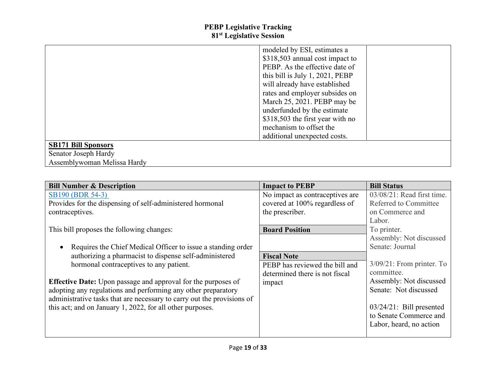|                             | modeled by ESI, estimates a      |  |
|-----------------------------|----------------------------------|--|
|                             | \$318,503 annual cost impact to  |  |
|                             | PEBP. As the effective date of   |  |
|                             | this bill is July 1, 2021, PEBP  |  |
|                             | will already have established    |  |
|                             | rates and employer subsides on   |  |
|                             | March 25, 2021. PEBP may be      |  |
|                             | underfunded by the estimate      |  |
|                             | \$318,503 the first year with no |  |
|                             | mechanism to offset the          |  |
|                             | additional unexpected costs.     |  |
| <b>SB171 Bill Sponsors</b>  |                                  |  |
| Senator Joseph Hardy        |                                  |  |
| Assemblywoman Melissa Hardy |                                  |  |

| <b>Bill Number &amp; Description</b>                                   | <b>Impact to PEBP</b>           | <b>Bill Status</b>            |
|------------------------------------------------------------------------|---------------------------------|-------------------------------|
| SB190 (BDR 54-3)                                                       | No impact as contraceptives are | $03/08/21$ : Read first time. |
| Provides for the dispensing of self-administered hormonal              | covered at 100% regardless of   | Referred to Committee         |
| contraceptives.                                                        | the prescriber.                 | on Commerce and               |
|                                                                        |                                 | Labor.                        |
| This bill proposes the following changes:                              | <b>Board Position</b>           | To printer.                   |
|                                                                        |                                 | Assembly: Not discussed       |
| Requires the Chief Medical Officer to issue a standing order           |                                 | Senate: Journal               |
| authorizing a pharmacist to dispense self-administered                 | <b>Fiscal Note</b>              |                               |
| hormonal contraceptives to any patient.                                | PEBP has reviewed the bill and  | $3/09/21$ : From printer. To  |
|                                                                        | determined there is not fiscal  | committee.                    |
| <b>Effective Date:</b> Upon passage and approval for the purposes of   | impact                          | Assembly: Not discussed       |
| adopting any regulations and performing any other preparatory          |                                 | Senate: Not discussed         |
| administrative tasks that are necessary to carry out the provisions of |                                 |                               |
| this act; and on January 1, 2022, for all other purposes.              |                                 | $03/24/21$ : Bill presented   |
|                                                                        |                                 | to Senate Commerce and        |
|                                                                        |                                 | Labor, heard, no action       |
|                                                                        |                                 |                               |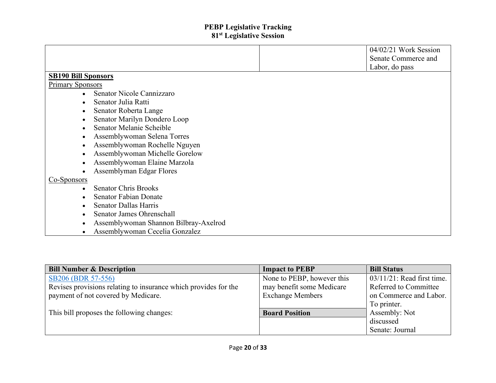|                                             | 04/02/21 Work Session |
|---------------------------------------------|-----------------------|
|                                             | Senate Commerce and   |
|                                             | Labor, do pass        |
| <b>SB190 Bill Sponsors</b>                  |                       |
| <b>Primary Sponsors</b>                     |                       |
| Senator Nicole Cannizzaro                   |                       |
| Senator Julia Ratti<br>$\bullet$            |                       |
| Senator Roberta Lange<br>$\bullet$          |                       |
| Senator Marilyn Dondero Loop<br>$\bullet$   |                       |
| Senator Melanie Scheible                    |                       |
| Assemblywoman Selena Torres                 |                       |
| Assemblywoman Rochelle Nguyen<br>$\bullet$  |                       |
| Assemblywoman Michelle Gorelow<br>$\bullet$ |                       |
| Assemblywoman Elaine Marzola                |                       |
| Assemblyman Edgar Flores                    |                       |
| Co-Sponsors                                 |                       |
| <b>Senator Chris Brooks</b><br>$\bullet$    |                       |
| <b>Senator Fabian Donate</b>                |                       |
| <b>Senator Dallas Harris</b>                |                       |
| Senator James Ohrenschall<br>$\bullet$      |                       |
| Assemblywoman Shannon Bilbray-Axelrod<br>٠  |                       |
| Assemblywoman Cecelia Gonzalez              |                       |

| <b>Bill Number &amp; Description</b>                            | <b>Impact to PEBP</b>      | <b>Bill Status</b>            |
|-----------------------------------------------------------------|----------------------------|-------------------------------|
| SB206 (BDR 57-556)                                              | None to PEBP, however this | $03/11/21$ : Read first time. |
| Revises provisions relating to insurance which provides for the | may benefit some Medicare  | Referred to Committee         |
| payment of not covered by Medicare.                             | <b>Exchange Members</b>    | on Commerce and Labor.        |
|                                                                 |                            | To printer.                   |
| This bill proposes the following changes:                       | <b>Board Position</b>      | Assembly: Not                 |
|                                                                 |                            | discussed                     |
|                                                                 |                            | Senate: Journal               |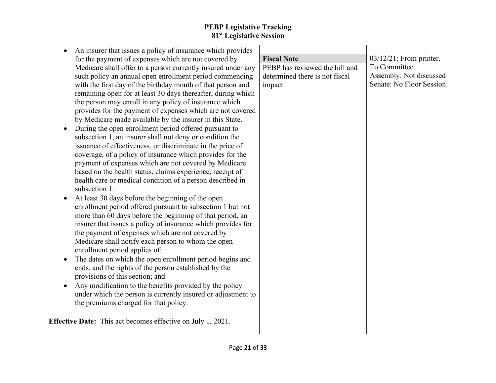| <b>Fiscal Note</b>             | $03/12/21$ : From printer. |
|--------------------------------|----------------------------|
| PEBP has reviewed the bill and | To Committee               |
| determined there is not fiscal | Assembly: Not discussed    |
| impact                         | Senate: No Floor Session   |
|                                |                            |
|                                |                            |
|                                |                            |
|                                |                            |
|                                |                            |
|                                |                            |
|                                |                            |
|                                |                            |
|                                |                            |
|                                |                            |
|                                |                            |
|                                |                            |
|                                |                            |
|                                |                            |
|                                |                            |
|                                |                            |
|                                |                            |
|                                |                            |
|                                |                            |
|                                |                            |
|                                |                            |
|                                |                            |
|                                |                            |
|                                |                            |
|                                |                            |
|                                |                            |
|                                |                            |
|                                |                            |
|                                |                            |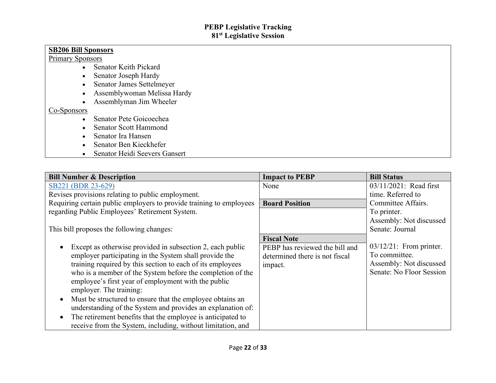# **SB206 Bill Sponsors**

#### Primary Sponsors

- Senator Keith Pickard
- Senator Joseph Hardy
- Senator James Settelmeyer
- Assemblywoman Melissa Hardy
- Assemblyman Jim Wheeler

#### Co-Sponsors

- Senator Pete Goicoechea
- Senator Scott Hammond
- Senator Ira Hansen
- Senator Ben Kieckhefer
- Senator Heidi Seevers Gansert

| <b>Bill Number &amp; Description</b>                                | <b>Impact to PEBP</b>          | <b>Bill Status</b>         |
|---------------------------------------------------------------------|--------------------------------|----------------------------|
| SB221 (BDR 23-629)                                                  | None                           | 03/11/2021: Read first     |
| Revises provisions relating to public employment.                   |                                | time. Referred to          |
| Requiring certain public employers to provide training to employees | <b>Board Position</b>          | Committee Affairs.         |
| regarding Public Employees' Retirement System.                      |                                | To printer.                |
|                                                                     |                                | Assembly: Not discussed    |
| This bill proposes the following changes:                           |                                | Senate: Journal            |
|                                                                     | <b>Fiscal Note</b>             |                            |
| Except as otherwise provided in subsection 2, each public           | PEBP has reviewed the bill and | $03/12/21$ : From printer. |
| employer participating in the System shall provide the              | determined there is not fiscal | To committee.              |
| training required by this section to each of its employees          | impact.                        | Assembly: Not discussed    |
| who is a member of the System before the completion of the          |                                | Senate: No Floor Session   |
| employee's first year of employment with the public                 |                                |                            |
| employer. The training:                                             |                                |                            |
| Must be structured to ensure that the employee obtains an           |                                |                            |
| understanding of the System and provides an explanation of:         |                                |                            |
| The retirement benefits that the employee is anticipated to         |                                |                            |
| receive from the System, including, without limitation, and         |                                |                            |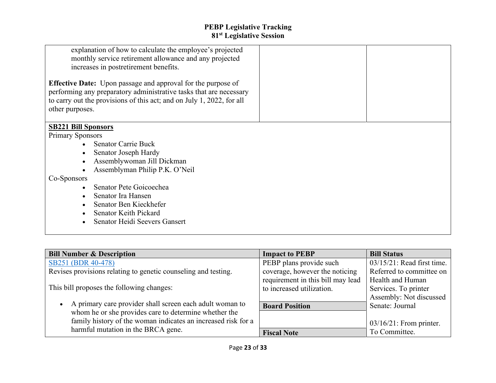| explanation of how to calculate the employee's projected<br>monthly service retirement allowance and any projected<br>increases in postretirement benefits.<br><b>Effective Date:</b> Upon passage and approval for the purpose of<br>performing any preparatory administrative tasks that are necessary<br>to carry out the provisions of this act; and on July 1, 2022, for all<br>other purposes. |  |
|------------------------------------------------------------------------------------------------------------------------------------------------------------------------------------------------------------------------------------------------------------------------------------------------------------------------------------------------------------------------------------------------------|--|
| <b>SB221 Bill Sponsors</b><br><b>Primary Sponsors</b><br><b>Senator Carrie Buck</b><br>Senator Joseph Hardy<br>Assemblywoman Jill Dickman<br>Assemblyman Philip P.K. O'Neil<br>Co-Sponsors<br>Senator Pete Goicoechea<br>Senator Ira Hansen<br>Senator Ben Kieckhefer<br><b>Senator Keith Pickard</b><br>Senator Heidi Seevers Gansert                                                               |  |

| <b>Bill Number &amp; Description</b>                                  | <b>Impact to PEBP</b>             | <b>Bill Status</b>            |
|-----------------------------------------------------------------------|-----------------------------------|-------------------------------|
| SB251 (BDR 40-478)                                                    | PEBP plans provide such           | $03/15/21$ : Read first time. |
| Revises provisions relating to genetic counseling and testing.        | coverage, however the noticing    | Referred to committee on      |
|                                                                       | requirement in this bill may lead | Health and Human              |
| This bill proposes the following changes:                             | to increased utilization.         | Services. To printer          |
|                                                                       |                                   | Assembly: Not discussed       |
| A primary care provider shall screen each adult woman to<br>$\bullet$ | <b>Board Position</b>             | Senate: Journal               |
| whom he or she provides care to determine whether the                 |                                   |                               |
| family history of the woman indicates an increased risk for a         |                                   | $03/16/21$ : From printer.    |
| harmful mutation in the BRCA gene.                                    | <b>Fiscal Note</b>                | To Committee.                 |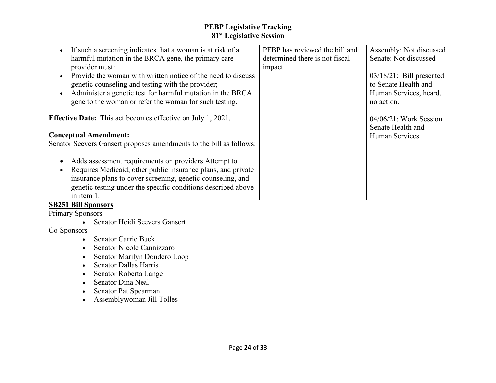| If such a screening indicates that a woman is at risk of a                | PEBP has reviewed the bill and | Assembly: Not discussed     |
|---------------------------------------------------------------------------|--------------------------------|-----------------------------|
| harmful mutation in the BRCA gene, the primary care                       | determined there is not fiscal | Senate: Not discussed       |
| provider must:                                                            | impact.                        |                             |
| Provide the woman with written notice of the need to discuss<br>$\bullet$ |                                | $03/18/21$ : Bill presented |
| genetic counseling and testing with the provider;                         |                                | to Senate Health and        |
| Administer a genetic test for harmful mutation in the BRCA<br>$\bullet$   |                                | Human Services, heard,      |
| gene to the woman or refer the woman for such testing.                    |                                | no action.                  |
|                                                                           |                                |                             |
| <b>Effective Date:</b> This act becomes effective on July 1, 2021.        |                                | $04/06/21$ : Work Session   |
|                                                                           |                                | Senate Health and           |
| <b>Conceptual Amendment:</b>                                              |                                | <b>Human Services</b>       |
| Senator Seevers Gansert proposes amendments to the bill as follows:       |                                |                             |
|                                                                           |                                |                             |
| Adds assessment requirements on providers Attempt to                      |                                |                             |
| Requires Medicaid, other public insurance plans, and private<br>$\bullet$ |                                |                             |
| insurance plans to cover screening, genetic counseling, and               |                                |                             |
| genetic testing under the specific conditions described above             |                                |                             |
| in item 1.                                                                |                                |                             |
|                                                                           |                                |                             |
| <b>SB251 Bill Sponsors</b>                                                |                                |                             |
| <b>Primary Sponsors</b><br>Senator Heidi Seevers Gansert                  |                                |                             |
|                                                                           |                                |                             |
| Co-Sponsors                                                               |                                |                             |
| <b>Senator Carrie Buck</b>                                                |                                |                             |
| Senator Nicole Cannizzaro                                                 |                                |                             |
| Senator Marilyn Dondero Loop                                              |                                |                             |
| <b>Senator Dallas Harris</b><br>$\bullet$                                 |                                |                             |
| Senator Roberta Lange                                                     |                                |                             |
| <b>Senator Dina Neal</b>                                                  |                                |                             |
| Senator Pat Spearman                                                      |                                |                             |
| Assemblywoman Jill Tolles                                                 |                                |                             |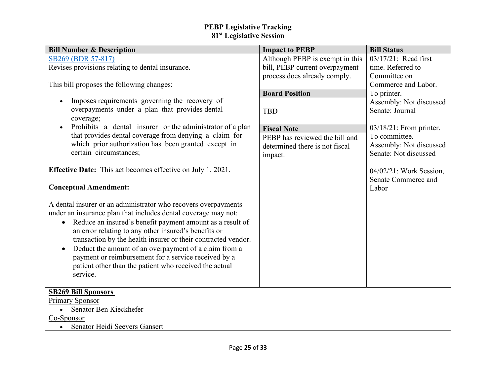| <b>Bill Number &amp; Description</b>                                                                                                                                                                                                                                                                                                                                                                                                                                                                                                    | <b>Impact to PEBP</b>           | <b>Bill Status</b>                                |
|-----------------------------------------------------------------------------------------------------------------------------------------------------------------------------------------------------------------------------------------------------------------------------------------------------------------------------------------------------------------------------------------------------------------------------------------------------------------------------------------------------------------------------------------|---------------------------------|---------------------------------------------------|
| SB269 (BDR 57-817)                                                                                                                                                                                                                                                                                                                                                                                                                                                                                                                      | Although PEBP is exempt in this | 03/17/21: Read first                              |
| Revises provisions relating to dental insurance.                                                                                                                                                                                                                                                                                                                                                                                                                                                                                        | bill, PEBP current overpayment  | time. Referred to                                 |
|                                                                                                                                                                                                                                                                                                                                                                                                                                                                                                                                         | process does already comply.    | Committee on                                      |
| This bill proposes the following changes:                                                                                                                                                                                                                                                                                                                                                                                                                                                                                               |                                 | Commerce and Labor.                               |
|                                                                                                                                                                                                                                                                                                                                                                                                                                                                                                                                         | <b>Board Position</b>           | To printer.                                       |
| Imposes requirements governing the recovery of<br>$\bullet$                                                                                                                                                                                                                                                                                                                                                                                                                                                                             |                                 | Assembly: Not discussed                           |
| overpayments under a plan that provides dental                                                                                                                                                                                                                                                                                                                                                                                                                                                                                          | <b>TBD</b>                      | Senate: Journal                                   |
| coverage;                                                                                                                                                                                                                                                                                                                                                                                                                                                                                                                               |                                 |                                                   |
| Prohibits a dental insurer or the administrator of a plan<br>$\bullet$                                                                                                                                                                                                                                                                                                                                                                                                                                                                  | <b>Fiscal Note</b>              | $03/18/21$ : From printer.                        |
| that provides dental coverage from denying a claim for                                                                                                                                                                                                                                                                                                                                                                                                                                                                                  | PEBP has reviewed the bill and  | To committee.                                     |
| which prior authorization has been granted except in                                                                                                                                                                                                                                                                                                                                                                                                                                                                                    | determined there is not fiscal  | Assembly: Not discussed                           |
| certain circumstances;                                                                                                                                                                                                                                                                                                                                                                                                                                                                                                                  | impact.                         | Senate: Not discussed                             |
| <b>Effective Date:</b> This act becomes effective on July 1, 2021.                                                                                                                                                                                                                                                                                                                                                                                                                                                                      |                                 | $04/02/21$ : Work Session,<br>Senate Commerce and |
| <b>Conceptual Amendment:</b>                                                                                                                                                                                                                                                                                                                                                                                                                                                                                                            |                                 | Labor                                             |
| A dental insurer or an administrator who recovers overpayments<br>under an insurance plan that includes dental coverage may not:<br>Reduce an insured's benefit payment amount as a result of<br>$\bullet$<br>an error relating to any other insured's benefits or<br>transaction by the health insurer or their contracted vendor.<br>Deduct the amount of an overpayment of a claim from a<br>$\bullet$<br>payment or reimbursement for a service received by a<br>patient other than the patient who received the actual<br>service. |                                 |                                                   |
| <b>SB269 Bill Sponsors</b>                                                                                                                                                                                                                                                                                                                                                                                                                                                                                                              |                                 |                                                   |
| Primary Sponsor                                                                                                                                                                                                                                                                                                                                                                                                                                                                                                                         |                                 |                                                   |
| Senator Ben Kieckhefer<br>$\bullet$                                                                                                                                                                                                                                                                                                                                                                                                                                                                                                     |                                 |                                                   |
| Co-Sponsor                                                                                                                                                                                                                                                                                                                                                                                                                                                                                                                              |                                 |                                                   |
| Senator Heidi Seevers Gansert<br>$\bullet$                                                                                                                                                                                                                                                                                                                                                                                                                                                                                              |                                 |                                                   |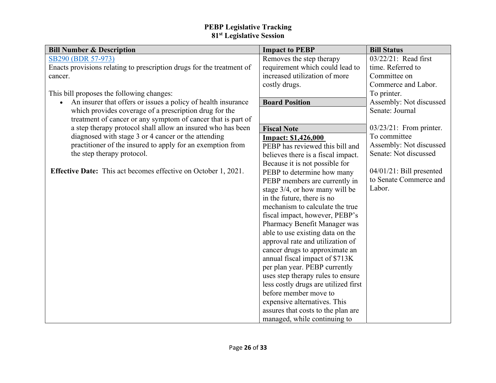| <b>Bill Number &amp; Description</b>                                  | <b>Impact to PEBP</b>                | <b>Bill Status</b>          |
|-----------------------------------------------------------------------|--------------------------------------|-----------------------------|
| SB290 (BDR 57-973)                                                    | Removes the step therapy             | 03/22/21: Read first        |
| Enacts provisions relating to prescription drugs for the treatment of | requirement which could lead to      | time. Referred to           |
| cancer.                                                               | increased utilization of more        | Committee on                |
|                                                                       | costly drugs.                        | Commerce and Labor.         |
| This bill proposes the following changes:                             |                                      | To printer.                 |
| An insurer that offers or issues a policy of health insurance         | <b>Board Position</b>                | Assembly: Not discussed     |
| which provides coverage of a prescription drug for the                |                                      | Senate: Journal             |
| treatment of cancer or any symptom of cancer that is part of          |                                      |                             |
| a step therapy protocol shall allow an insured who has been           | <b>Fiscal Note</b>                   | $03/23/21$ : From printer.  |
| diagnosed with stage 3 or 4 cancer or the attending                   | <b>Impact: \$1,426,000</b>           | To committee                |
| practitioner of the insured to apply for an exemption from            | PEBP has reviewed this bill and      | Assembly: Not discussed     |
| the step therapy protocol.                                            | believes there is a fiscal impact.   | Senate: Not discussed       |
|                                                                       | Because it is not possible for       |                             |
| <b>Effective Date:</b> This act becomes effective on October 1, 2021. | PEBP to determine how many           | $04/01/21$ : Bill presented |
|                                                                       | PEBP members are currently in        | to Senate Commerce and      |
|                                                                       | stage 3/4, or how many will be       | Labor.                      |
|                                                                       | in the future, there is no           |                             |
|                                                                       | mechanism to calculate the true      |                             |
|                                                                       | fiscal impact, however, PEBP's       |                             |
|                                                                       | Pharmacy Benefit Manager was         |                             |
|                                                                       | able to use existing data on the     |                             |
|                                                                       | approval rate and utilization of     |                             |
|                                                                       | cancer drugs to approximate an       |                             |
|                                                                       | annual fiscal impact of \$713K       |                             |
|                                                                       | per plan year. PEBP currently        |                             |
|                                                                       | uses step therapy rules to ensure    |                             |
|                                                                       | less costly drugs are utilized first |                             |
|                                                                       | before member move to                |                             |
|                                                                       | expensive alternatives. This         |                             |
|                                                                       | assures that costs to the plan are   |                             |
|                                                                       | managed, while continuing to         |                             |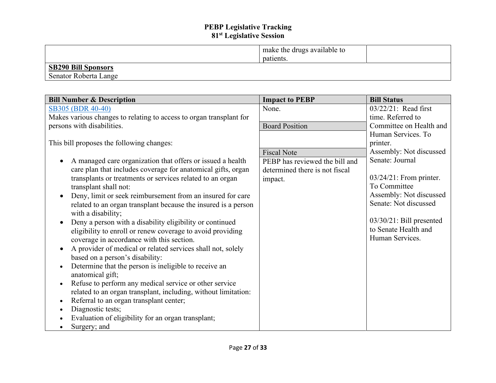|                            | make the drugs available to |  |
|----------------------------|-----------------------------|--|
|                            | patients.                   |  |
| <b>SB290 Bill Sponsors</b> |                             |  |
| Senator Roberta Lange      |                             |  |

| <b>Bill Number &amp; Description</b>                                | <b>Impact to PEBP</b>          | <b>Bill Status</b>          |
|---------------------------------------------------------------------|--------------------------------|-----------------------------|
| SB305 (BDR 40-40)                                                   | None.                          | $03/22/21$ : Read first     |
| Makes various changes to relating to access to organ transplant for |                                | time. Referred to           |
| persons with disabilities.                                          | <b>Board Position</b>          | Committee on Health and     |
|                                                                     |                                | Human Services. To          |
| This bill proposes the following changes:                           |                                | printer.                    |
|                                                                     | <b>Fiscal Note</b>             | Assembly: Not discussed     |
| A managed care organization that offers or issued a health          | PEBP has reviewed the bill and | Senate: Journal             |
| care plan that includes coverage for anatomical gifts, organ        | determined there is not fiscal |                             |
| transplants or treatments or services related to an organ           | impact.                        | $03/24/21$ : From printer.  |
| transplant shall not:                                               |                                | To Committee                |
| Deny, limit or seek reimbursement from an insured for care          |                                | Assembly: Not discussed     |
| related to an organ transplant because the insured is a person      |                                | Senate: Not discussed       |
| with a disability;                                                  |                                |                             |
| Deny a person with a disability eligibility or continued            |                                | $03/30/21$ : Bill presented |
| eligibility to enroll or renew coverage to avoid providing          |                                | to Senate Health and        |
| coverage in accordance with this section.                           |                                | Human Services.             |
| A provider of medical or related services shall not, solely         |                                |                             |
| based on a person's disability:                                     |                                |                             |
| Determine that the person is ineligible to receive an               |                                |                             |
| anatomical gift;                                                    |                                |                             |
| Refuse to perform any medical service or other service<br>$\bullet$ |                                |                             |
| related to an organ transplant, including, without limitation:      |                                |                             |
| Referral to an organ transplant center;<br>$\bullet$                |                                |                             |
| Diagnostic tests;                                                   |                                |                             |
| Evaluation of eligibility for an organ transplant;                  |                                |                             |
| Surgery; and                                                        |                                |                             |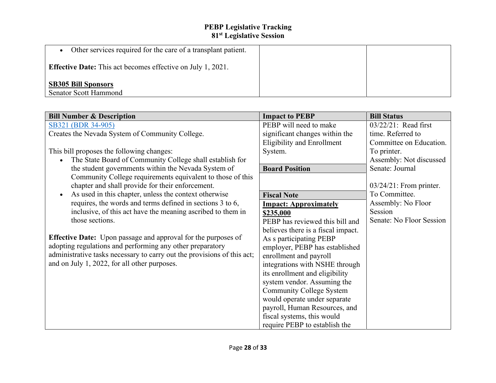| Other services required for the care of a transplant patient.      |  |
|--------------------------------------------------------------------|--|
| <b>Effective Date:</b> This act becomes effective on July 1, 2021. |  |
| <b>SB305 Bill Sponsors</b><br><b>Senator Scott Hammond</b>         |  |

| <b>Bill Number &amp; Description</b>                                    | <b>Impact to PEBP</b>              | <b>Bill Status</b>         |
|-------------------------------------------------------------------------|------------------------------------|----------------------------|
| SB321 (BDR 34-905)                                                      | PEBP will need to make             | 03/22/21: Read first       |
| Creates the Nevada System of Community College.                         | significant changes within the     | time. Referred to          |
|                                                                         | <b>Eligibility and Enrollment</b>  | Committee on Education.    |
| This bill proposes the following changes:                               | System.                            | To printer.                |
| The State Board of Community College shall establish for                |                                    | Assembly: Not discussed    |
| the student governments within the Nevada System of                     | <b>Board Position</b>              | Senate: Journal            |
| Community College requirements equivalent to those of this              |                                    |                            |
| chapter and shall provide for their enforcement.                        |                                    | $03/24/21$ : From printer. |
| As used in this chapter, unless the context otherwise                   | <b>Fiscal Note</b>                 | To Committee.              |
| requires, the words and terms defined in sections 3 to 6,               | <b>Impact: Approximately</b>       | Assembly: No Floor         |
| inclusive, of this act have the meaning ascribed to them in             | \$235,000                          | Session                    |
| those sections.                                                         | PEBP has reviewed this bill and    | Senate: No Floor Session   |
|                                                                         | believes there is a fiscal impact. |                            |
| <b>Effective Date:</b> Upon passage and approval for the purposes of    | As s participating PEBP            |                            |
| adopting regulations and performing any other preparatory               | employer, PEBP has established     |                            |
| administrative tasks necessary to carry out the provisions of this act; | enrollment and payroll             |                            |
| and on July 1, 2022, for all other purposes.                            | integrations with NSHE through     |                            |
|                                                                         | its enrollment and eligibility     |                            |
|                                                                         | system vendor. Assuming the        |                            |
|                                                                         | <b>Community College System</b>    |                            |
|                                                                         | would operate under separate       |                            |
|                                                                         | payroll, Human Resources, and      |                            |
|                                                                         | fiscal systems, this would         |                            |
|                                                                         | require PEBP to establish the      |                            |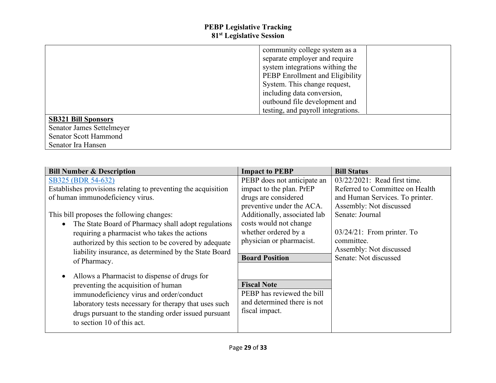|                              | community college system as a      |  |
|------------------------------|------------------------------------|--|
|                              | separate employer and require      |  |
|                              | system integrations withing the    |  |
|                              | PEBP Enrollment and Eligibility    |  |
|                              | System. This change request,       |  |
|                              | including data conversion,         |  |
|                              | outbound file development and      |  |
|                              | testing, and payroll integrations. |  |
| <b>SB321 Bill Sponsors</b>   |                                    |  |
| Senator James Settelmeyer    |                                    |  |
| <b>Senator Scott Hammond</b> |                                    |  |
| Senator Ira Hansen           |                                    |  |

| <b>Bill Number &amp; Description</b>                                                                                                                                                                                                                                                                                                                                                                           | <b>Impact to PEBP</b>                                                                                                                                                                                                                               | <b>Bill Status</b>                                                                                                                                                                                                                                  |
|----------------------------------------------------------------------------------------------------------------------------------------------------------------------------------------------------------------------------------------------------------------------------------------------------------------------------------------------------------------------------------------------------------------|-----------------------------------------------------------------------------------------------------------------------------------------------------------------------------------------------------------------------------------------------------|-----------------------------------------------------------------------------------------------------------------------------------------------------------------------------------------------------------------------------------------------------|
| SB325 (BDR 54-632)<br>Establishes provisions relating to preventing the acquisition<br>of human immunodeficiency virus.<br>This bill proposes the following changes:<br>• The State Board of Pharmacy shall adopt regulations<br>requiring a pharmacist who takes the actions<br>authorized by this section to be covered by adequate<br>liability insurance, as determined by the State Board<br>of Pharmacy. | PEBP does not anticipate an<br>impact to the plan. PrEP<br>drugs are considered<br>preventive under the ACA.<br>Additionally, associated lab<br>costs would not change<br>whether ordered by a<br>physician or pharmacist.<br><b>Board Position</b> | 03/22/2021: Read first time.<br>Referred to Committee on Health<br>and Human Services. To printer.<br>Assembly: Not discussed<br>Senate: Journal<br>$03/24/21$ : From printer. To<br>committee.<br>Assembly: Not discussed<br>Senate: Not discussed |
| Allows a Pharmacist to dispense of drugs for<br>preventing the acquisition of human<br>immunodeficiency virus and order/conduct<br>laboratory tests necessary for therapy that uses such<br>drugs pursuant to the standing order issued pursuant<br>to section 10 of this act.                                                                                                                                 | <b>Fiscal Note</b><br>PEBP has reviewed the bill<br>and determined there is not<br>fiscal impact.                                                                                                                                                   |                                                                                                                                                                                                                                                     |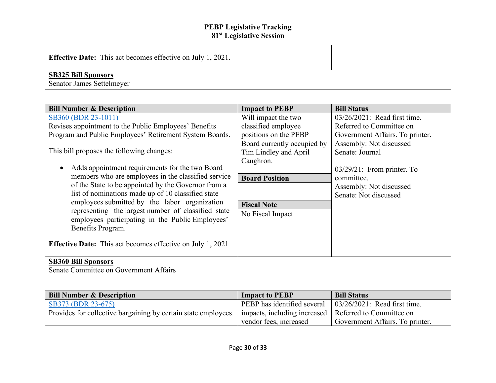| <b>Effective Date:</b> This act becomes effective on July 1, 2021. |  |
|--------------------------------------------------------------------|--|
| <b>SB325 Bill Sponsors</b><br>Senator James Settelmeyer            |  |

| <b>Bill Number &amp; Description</b>                              | <b>Impact to PEBP</b>       | <b>Bill Status</b>              |
|-------------------------------------------------------------------|-----------------------------|---------------------------------|
| SB360 (BDR 23-1011)                                               | Will impact the two         | 03/26/2021: Read first time.    |
| Revises appointment to the Public Employees' Benefits             | classified employee         | Referred to Committee on        |
| Program and Public Employees' Retirement System Boards.           | positions on the PEBP       | Government Affairs. To printer. |
|                                                                   | Board currently occupied by | Assembly: Not discussed         |
| This bill proposes the following changes:                         | Tim Lindley and April       | Senate: Journal                 |
|                                                                   | Caughron.                   |                                 |
| Adds appointment requirements for the two Board                   |                             | $03/29/21$ : From printer. To   |
| members who are employees in the classified service               | <b>Board Position</b>       | committee.                      |
| of the State to be appointed by the Governor from a               |                             | Assembly: Not discussed         |
| list of nominations made up of 10 classified state                |                             | Senate: Not discussed           |
| employees submitted by the labor organization                     | <b>Fiscal Note</b>          |                                 |
| representing the largest number of classified state               | No Fiscal Impact            |                                 |
| employees participating in the Public Employees'                  |                             |                                 |
| Benefits Program.                                                 |                             |                                 |
| <b>Effective Date:</b> This act becomes effective on July 1, 2021 |                             |                                 |
| <b>SB360 Bill Sponsors</b>                                        |                             |                                 |
| Senate Committee on Government Affairs                            |                             |                                 |

| <b>Bill Number &amp; Description</b>                                                                                     | <b>Impact to PEBP</b>       | <b>Bill Status</b>                   |
|--------------------------------------------------------------------------------------------------------------------------|-----------------------------|--------------------------------------|
| $\overline{SB373}$ (BDR 23-675)                                                                                          | PEBP has identified several | $\vert$ 03/26/2021: Read first time. |
| Provides for collective bargaining by certain state employees.   impacts, including increased   Referred to Committee on |                             |                                      |
|                                                                                                                          | vendor fees, increased      | Government Affairs. To printer.      |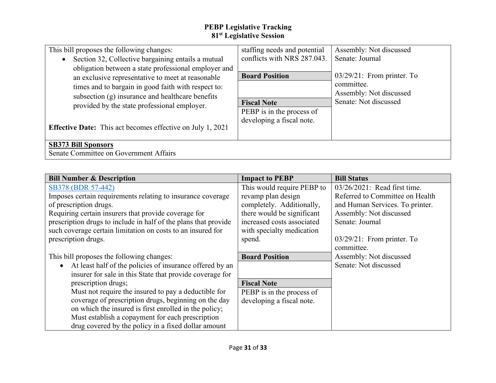| This bill proposes the following changes:                                                                                                                                                                            | staffing needs and potential                                                 | Assembly: Not discussed                                                |
|----------------------------------------------------------------------------------------------------------------------------------------------------------------------------------------------------------------------|------------------------------------------------------------------------------|------------------------------------------------------------------------|
| Section 32, Collective bargaining entails a mutual<br>$\bullet$                                                                                                                                                      | conflicts with NRS 287.043.                                                  | Senate: Journal                                                        |
| obligation between a state professional employer and<br>an exclusive representative to meet at reasonable<br>times and to bargain in good faith with respect to:<br>subsection (g) insurance and healthcare benefits | <b>Board Position</b>                                                        | $03/29/21$ : From printer. To<br>committee.<br>Assembly: Not discussed |
| provided by the state professional employer.<br><b>Effective Date:</b> This act becomes effective on July 1, 2021                                                                                                    | <b>Fiscal Note</b><br>PEBP is in the process of<br>developing a fiscal note. | Senate: Not discussed                                                  |
| <b>SB373 Bill Sponsors</b><br>Senate Committee on Government Affairs                                                                                                                                                 |                                                                              |                                                                        |

| <b>Bill Number &amp; Description</b>                            | <b>Impact to PEBP</b>      | <b>Bill Status</b>              |
|-----------------------------------------------------------------|----------------------------|---------------------------------|
| SB378 (BDR 57-442)                                              | This would require PEBP to | 03/26/2021: Read first time.    |
| Imposes certain requirements relating to insurance coverage     | revamp plan design         | Referred to Committee on Health |
| of prescription drugs.                                          | completely. Additionally,  | and Human Services. To printer. |
| Requiring certain insurers that provide coverage for            | there would be significant | Assembly: Not discussed         |
| prescription drugs to include in half of the plans that provide | increased costs associated | Senate: Journal                 |
| such coverage certain limitation on costs to an insured for     | with specialty medication  |                                 |
| prescription drugs.                                             | spend.                     | $03/29/21$ : From printer. To   |
|                                                                 |                            | committee.                      |
| This bill proposes the following changes:                       | <b>Board Position</b>      | Assembly: Not discussed         |
| At least half of the policies of insurance offered by an        |                            | Senate: Not discussed           |
| insurer for sale in this State that provide coverage for        |                            |                                 |
| prescription drugs;                                             | <b>Fiscal Note</b>         |                                 |
| Must not require the insured to pay a deductible for            | PEBP is in the process of  |                                 |
| coverage of prescription drugs, beginning on the day            | developing a fiscal note.  |                                 |
| on which the insured is first enrolled in the policy;           |                            |                                 |
| Must establish a copayment for each prescription                |                            |                                 |
| drug covered by the policy in a fixed dollar amount             |                            |                                 |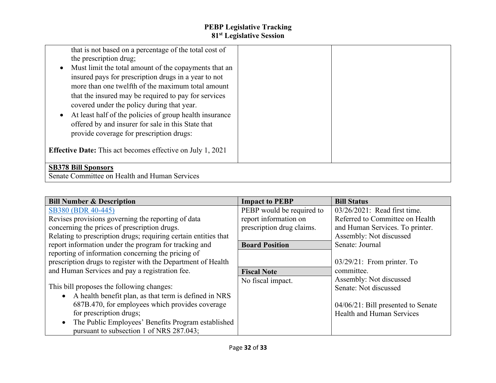| that is not based on a percentage of the total cost of<br>the prescription drug;<br>Must limit the total amount of the copayments that an<br>insured pays for prescription drugs in a year to not<br>more than one twelfth of the maximum total amount<br>that the insured may be required to pay for services<br>covered under the policy during that year.<br>At least half of the policies of group health insurance<br>offered by and insurer for sale in this State that<br>provide coverage for prescription drugs:<br><b>Effective Date:</b> This act becomes effective on July 1, 2021 |  |
|------------------------------------------------------------------------------------------------------------------------------------------------------------------------------------------------------------------------------------------------------------------------------------------------------------------------------------------------------------------------------------------------------------------------------------------------------------------------------------------------------------------------------------------------------------------------------------------------|--|
| <b>SB378 Bill Sponsors</b>                                                                                                                                                                                                                                                                                                                                                                                                                                                                                                                                                                     |  |
| Senate Committee on Health and Human Services                                                                                                                                                                                                                                                                                                                                                                                                                                                                                                                                                  |  |

| <b>Bill Number &amp; Description</b>                            | <b>Impact to PEBP</b>     | <b>Bill Status</b>                    |
|-----------------------------------------------------------------|---------------------------|---------------------------------------|
| SB380 (BDR 40-445)                                              | PEBP would be required to | 03/26/2021: Read first time.          |
| Revises provisions governing the reporting of data              | report information on     | Referred to Committee on Health       |
| concerning the prices of prescription drugs.                    | prescription drug claims. | and Human Services. To printer.       |
| Relating to prescription drugs; requiring certain entities that |                           | Assembly: Not discussed               |
| report information under the program for tracking and           | <b>Board Position</b>     | Senate: Journal                       |
| reporting of information concerning the pricing of              |                           |                                       |
| prescription drugs to register with the Department of Health    |                           | $03/29/21$ : From printer. To         |
| and Human Services and pay a registration fee.                  | <b>Fiscal Note</b>        | committee.                            |
|                                                                 | No fiscal impact.         | Assembly: Not discussed               |
| This bill proposes the following changes:                       |                           | Senate: Not discussed                 |
| • A health benefit plan, as that term is defined in NRS         |                           |                                       |
| 687B.470, for employees which provides coverage                 |                           | $04/06/21$ : Bill presented to Senate |
| for prescription drugs;                                         |                           | <b>Health and Human Services</b>      |
| The Public Employees' Benefits Program established<br>$\bullet$ |                           |                                       |
| pursuant to subsection 1 of NRS 287.043;                        |                           |                                       |